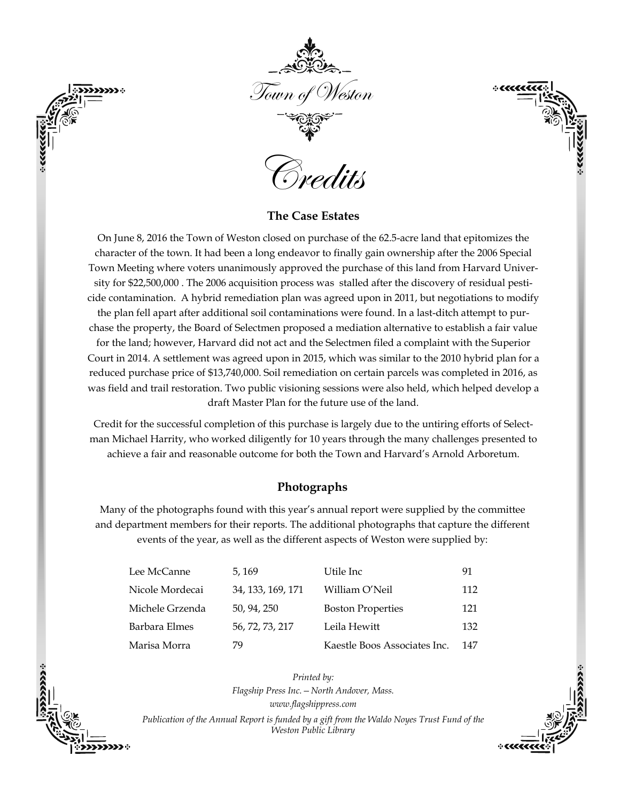





**The Case Estates** 

On June 8, 2016 the Town of Weston closed on purchase of the 62.5-acre land that epitomizes the character of the town. It had been a long endeavor to finally gain ownership after the 2006 Special Town Meeting where voters unanimously approved the purchase of this land from Harvard University for \$22,500,000. The 2006 acquisition process was stalled after the discovery of residual pesticide contamination. A hybrid remediation plan was agreed upon in 2011, but negotiations to modify the plan fell apart after additional soil contaminations were found. In a last-ditch attempt to purchase the property, the Board of Selectmen proposed a mediation alternative to establish a fair value for the land; however, Harvard did not act and the Selectmen filed a complaint with the Superior Court in 2014. A settlement was agreed upon in 2015, which was similar to the 2010 hybrid plan for a reduced purchase price of \$13,740,000. Soil remediation on certain parcels was completed in 2016, as was field and trail restoration. Two public visioning sessions were also held, which helped develop a draft Master Plan for the future use of the land.

Credit for the successful completion of this purchase is largely due to the untiring efforts of Selectman Michael Harrity, who worked diligently for 10 years through the many challenges presented to achieve a fair and reasonable outcome for both the Town and Harvard's Arnold Arboretum.

# Photographs

Many of the photographs found with this year's annual report were supplied by the committee and department members for their reports. The additional photographs that capture the different events of the year, as well as the different aspects of Weston were supplied by:

| Lee McCanne     | 5, 169            | Utile Inc                    | 91  |
|-----------------|-------------------|------------------------------|-----|
| Nicole Mordecai | 34, 133, 169, 171 | William O'Neil               | 112 |
| Michele Grzenda | 50, 94, 250       | <b>Boston Properties</b>     | 121 |
| Barbara Elmes   | 56, 72, 73, 217   | Leila Hewitt                 | 132 |
| Marisa Morra    | 79                | Kaestle Boos Associates Inc. | 147 |



Printed by: Flagship Press Inc. - North Andover, Mass. www.flagshippress.com Publication of the Annual Report is funded by a gift from the Waldo Noyes Trust Fund of the Weston Public Library

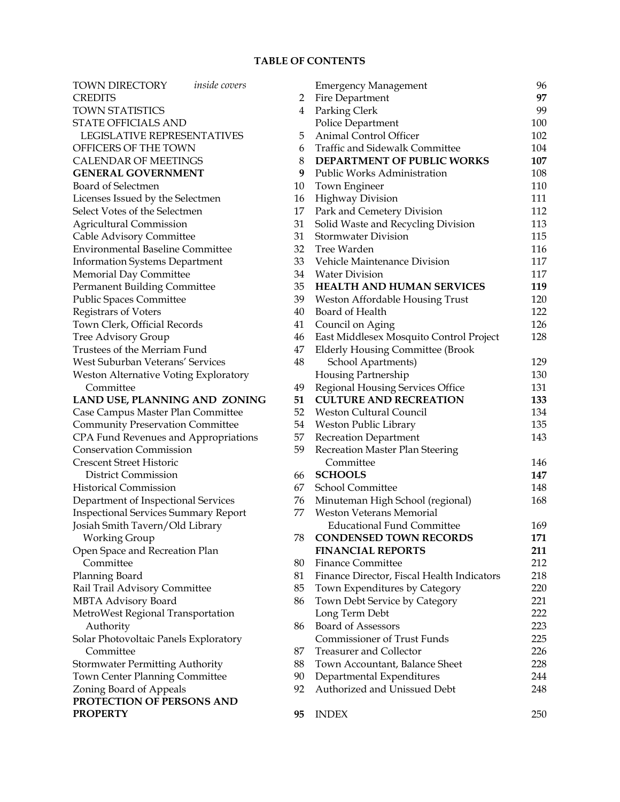### **TABLE OF CONTENTS**

| <b>TOWN DIRECTORY</b><br><i>inside covers</i> |                | <b>Emergency Management</b>             |
|-----------------------------------------------|----------------|-----------------------------------------|
| <b>CREDITS</b>                                | $\overline{2}$ | Fire Department                         |
| <b>TOWN STATISTICS</b>                        | $\overline{4}$ | Parking Clerk                           |
| <b>STATE OFFICIALS AND</b>                    |                | Police Department                       |
| LEGISLATIVE REPRESENTATIVES                   | 5              | Animal Control Officer                  |
| OFFICERS OF THE TOWN                          | 6              | Traffic and Sidewalk Committee          |
| CALENDAR OF MEETINGS                          | 8              | <b>DEPARTMENT OF PUBLIC WOR</b>         |
| <b>GENERAL GOVERNMENT</b>                     | 9              | Public Works Administration             |
| Board of Selectmen                            | 10             | Town Engineer                           |
| Licenses Issued by the Selectmen              | 16             | <b>Highway Division</b>                 |
| Select Votes of the Selectmen                 | 17             | Park and Cemetery Division              |
| Agricultural Commission                       | 31             | Solid Waste and Recycling Division      |
| Cable Advisory Committee                      | 31             | <b>Stormwater Division</b>              |
| <b>Environmental Baseline Committee</b>       | 32             | Tree Warden                             |
| <b>Information Systems Department</b>         |                | 33 Vehicle Maintenance Division         |
| Memorial Day Committee                        |                | 34 Water Division                       |
| Permanent Building Committee                  | 35             | <b>HEALTH AND HUMAN SERVICE</b>         |
| Public Spaces Committee                       | 39             | Weston Affordable Housing Trust         |
| <b>Registrars of Voters</b>                   | 40             | Board of Health                         |
| Town Clerk, Official Records                  | 41             | Council on Aging                        |
| Tree Advisory Group                           | 46             | East Middlesex Mosquito Control Pr      |
| Trustees of the Merriam Fund                  | 47             | <b>Elderly Housing Committee (Brook</b> |
| West Suburban Veterans' Services              | 48             | School Apartments)                      |
| Weston Alternative Voting Exploratory         |                | Housing Partnership                     |
| Committee                                     | 49             | Regional Housing Services Office        |
| LAND USE, PLANNING AND ZONING                 | 51             | <b>CULTURE AND RECREATION</b>           |
| Case Campus Master Plan Committee             | 52             | Weston Cultural Council                 |
| <b>Community Preservation Committee</b>       | 54             | Weston Public Library                   |
| CPA Fund Revenues and Appropriations          | 57             | <b>Recreation Department</b>            |
| <b>Conservation Commission</b>                | 59             | Recreation Master Plan Steering         |
| <b>Crescent Street Historic</b>               |                | Committee                               |
| <b>District Commission</b>                    | 66             | <b>SCHOOLS</b>                          |
| <b>Historical Commission</b>                  | 67             | School Committee                        |
| Department of Inspectional Services           | 76             | Minuteman High School (regional)        |
| <b>Inspectional Services Summary Report</b>   | 77             | <b>Weston Veterans Memorial</b>         |
| Josiah Smith Tavern/Old Library               |                | <b>Educational Fund Committee</b>       |
| Working Group                                 | 78             | <b>CONDENSED TOWN RECORDS</b>           |
| Open Space and Recreation Plan                |                | <b>FINANCIAL REPORTS</b>                |
| Committee                                     | 80             | <b>Finance Committee</b>                |
| Planning Board                                | 81             | Finance Director, Fiscal Health Indic   |
| Rail Trail Advisory Committee                 | 85             | Town Expenditures by Category           |
| MBTA Advisory Board                           | 86             | Town Debt Service by Category           |
| MetroWest Regional Transportation             |                | Long Term Debt                          |
| Authority                                     | 86             | <b>Board of Assessors</b>               |
| Solar Photovoltaic Panels Exploratory         |                | <b>Commissioner of Trust Funds</b>      |
| Committee                                     | 87             | Treasurer and Collector                 |
| <b>Stormwater Permitting Authority</b>        | 88             | Town Accountant, Balance Sheet          |
| <b>Town Center Planning Committee</b>         | 90             | Departmental Expenditures               |
| Zoning Board of Appeals                       | 92             | Authorized and Unissued Debt            |
| PROTECTION OF PERSONS AND                     |                |                                         |
| <b>PROPERTY</b>                               | 95             | <b>INDEX</b>                            |

| TOWN DIRECTORY<br><i>inside covers</i>      |                | <b>Emergency Management</b>                | 96  |
|---------------------------------------------|----------------|--------------------------------------------|-----|
| <b>CREDITS</b>                              | $\overline{2}$ | Fire Department                            | 97  |
| <b>TOWN STATISTICS</b>                      | $\overline{4}$ | Parking Clerk                              | 99  |
| STATE OFFICIALS AND                         |                | Police Department                          | 100 |
| LEGISLATIVE REPRESENTATIVES                 | 5              | Animal Control Officer                     | 102 |
| OFFICERS OF THE TOWN                        | 6              | <b>Traffic and Sidewalk Committee</b>      | 104 |
| CALENDAR OF MEETINGS                        | 8              | DEPARTMENT OF PUBLIC WORKS                 | 107 |
| <b>GENERAL GOVERNMENT</b>                   | 9              | Public Works Administration                | 108 |
| <b>Board of Selectmen</b>                   | 10             | Town Engineer                              | 110 |
| Licenses Issued by the Selectmen            | 16             | <b>Highway Division</b>                    | 111 |
| Select Votes of the Selectmen               | 17             | Park and Cemetery Division                 | 112 |
| <b>Agricultural Commission</b>              | 31             | Solid Waste and Recycling Division         | 113 |
| Cable Advisory Committee                    | 31             | Stormwater Division                        | 115 |
| <b>Environmental Baseline Committee</b>     | 32             | Tree Warden                                | 116 |
| <b>Information Systems Department</b>       | 33             | Vehicle Maintenance Division               | 117 |
| <b>Memorial Day Committee</b>               | 34             | <b>Water Division</b>                      | 117 |
| <b>Permanent Building Committee</b>         | 35             | <b>HEALTH AND HUMAN SERVICES</b>           | 119 |
| Public Spaces Committee                     | 39             | Weston Affordable Housing Trust            | 120 |
| Registrars of Voters                        | 40             | Board of Health                            | 122 |
| Town Clerk, Official Records                | 41             | Council on Aging                           | 126 |
| <b>Tree Advisory Group</b>                  | 46             | East Middlesex Mosquito Control Project    | 128 |
| Trustees of the Merriam Fund                | 47             | <b>Elderly Housing Committee (Brook</b>    |     |
| West Suburban Veterans' Services            | 48             | School Apartments)                         | 129 |
| Weston Alternative Voting Exploratory       |                | Housing Partnership                        | 130 |
| Committee                                   | 49             | Regional Housing Services Office           | 131 |
| LAND USE, PLANNING AND ZONING               | 51             | <b>CULTURE AND RECREATION</b>              | 133 |
| Case Campus Master Plan Committee           | 52             | <b>Weston Cultural Council</b>             | 134 |
| <b>Community Preservation Committee</b>     | 54             | Weston Public Library                      | 135 |
| CPA Fund Revenues and Appropriations        | 57             | <b>Recreation Department</b>               | 143 |
| <b>Conservation Commission</b>              | 59             | Recreation Master Plan Steering            |     |
| <b>Crescent Street Historic</b>             |                | Committee                                  | 146 |
| District Commission                         | 66             | <b>SCHOOLS</b>                             | 147 |
| <b>Historical Commission</b>                | 67             | School Committee                           | 148 |
| Department of Inspectional Services         | 76             | Minuteman High School (regional)           | 168 |
| <b>Inspectional Services Summary Report</b> | 77             | <b>Weston Veterans Memorial</b>            |     |
| Josiah Smith Tavern/Old Library             |                | <b>Educational Fund Committee</b>          | 169 |
| Working Group                               | 78             | <b>CONDENSED TOWN RECORDS</b>              | 171 |
| Open Space and Recreation Plan              |                | <b>FINANCIAL REPORTS</b>                   | 211 |
| Committee                                   | 80             | <b>Finance Committee</b>                   | 212 |
| Planning Board                              | 81             | Finance Director, Fiscal Health Indicators | 218 |
| Rail Trail Advisory Committee               | 85             | Town Expenditures by Category              | 220 |
| <b>MBTA Advisory Board</b>                  | 86             | Town Debt Service by Category              | 221 |
| MetroWest Regional Transportation           |                | Long Term Debt                             | 222 |
| Authority                                   | 86             | <b>Board of Assessors</b>                  | 223 |
| Solar Photovoltaic Panels Exploratory       |                | <b>Commissioner of Trust Funds</b>         | 225 |
| Committee                                   | 87             | Treasurer and Collector                    | 226 |
| <b>Stormwater Permitting Authority</b>      | 88             | Town Accountant, Balance Sheet             | 228 |
| <b>Town Center Planning Committee</b>       | 90             | Departmental Expenditures                  | 244 |
| Zoning Board of Appeals                     | 92             | Authorized and Unissued Debt               | 248 |
| PROTECTION OF PERSONS AND                   |                |                                            |     |

**95** INDEX 250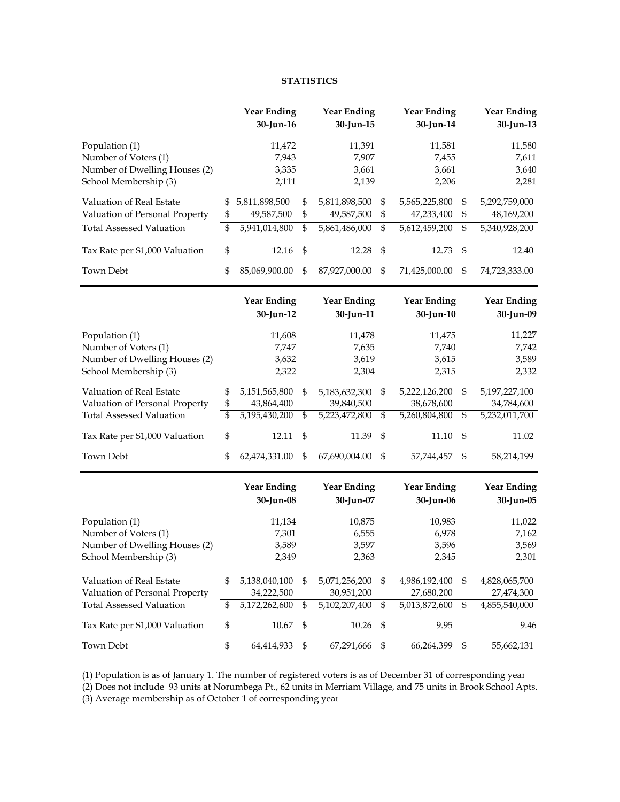#### **STATISTICS**

|                                                            |          | <b>Year Ending</b>              |                            | <b>Year Ending</b>              | <b>Year Ending</b>                |                                       | <b>Year Ending</b>              |
|------------------------------------------------------------|----------|---------------------------------|----------------------------|---------------------------------|-----------------------------------|---------------------------------------|---------------------------------|
|                                                            |          | 30-Jun-16                       |                            | 30-Jun-15                       | 30-Jun-14                         |                                       | 30-Jun-13                       |
| Population (1)                                             |          | 11,472                          |                            | 11,391                          | 11,581                            |                                       | 11,580                          |
| Number of Voters (1)                                       |          | 7,943                           |                            | 7,907                           | 7,455                             |                                       | 7,611                           |
| Number of Dwelling Houses (2)                              |          | 3,335                           |                            | 3,661                           | 3,661                             |                                       | 3,640                           |
| School Membership (3)                                      |          | 2,111                           |                            | 2,139                           | 2,206                             |                                       | 2,281                           |
| Valuation of Real Estate                                   | \$       | 5,811,898,500                   | \$                         | 5,811,898,500                   | \$<br>5,565,225,800               | \$                                    | 5,292,759,000                   |
| Valuation of Personal Property                             | \$       | 49,587,500                      | \$                         | 49,587,500                      | \$<br>47,233,400                  | \$                                    | 48,169,200                      |
| <b>Total Assessed Valuation</b>                            | \$       | 5,941,014,800                   | \$                         | 5,861,486,000                   | \$<br>5,612,459,200               | \$                                    | 5,340,928,200                   |
| Tax Rate per \$1,000 Valuation                             | \$       | 12.16                           | \$                         | 12.28                           | \$<br>12.73                       | \$                                    | 12.40                           |
| Town Debt                                                  | \$       | 85,069,900.00                   | \$                         | 87,927,000.00                   | \$<br>71,425,000.00               | \$                                    | 74,723,333.00                   |
|                                                            |          | <b>Year Ending</b><br>30-Jun-12 |                            | <b>Year Ending</b><br>30-Jun-11 | <b>Year Ending</b><br>30-Jun-10   |                                       | <b>Year Ending</b><br>30-Jun-09 |
| Population (1)                                             |          | 11,608                          |                            | 11,478                          | 11,475                            |                                       | 11,227                          |
| Number of Voters (1)                                       |          | 7,747                           |                            | 7,635                           | 7,740                             |                                       | 7,742                           |
| Number of Dwelling Houses (2)                              |          | 3,632                           |                            | 3,619                           | 3,615                             |                                       | 3,589                           |
| School Membership (3)                                      |          | 2,322                           |                            | 2,304                           | 2,315                             |                                       | 2,332                           |
| Valuation of Real Estate<br>Valuation of Personal Property | \$<br>\$ | 5,151,565,800<br>43,864,400     | \$                         | 5,183,632,300<br>39,840,500     | \$<br>5,222,126,200<br>38,678,600 | \$                                    | 5,197,227,100<br>34,784,600     |
| <b>Total Assessed Valuation</b>                            | \$       | 5,195,430,200                   | \$                         | 5,223,472,800                   | \$<br>5,260,804,800               | \$                                    | 5,232,011,700                   |
| Tax Rate per \$1,000 Valuation                             | \$       | 12.11                           | \$                         | 11.39                           | \$<br>11.10                       | $\mathfrak s$                         | 11.02                           |
| Town Debt                                                  | \$       | 62,474,331.00                   | \$                         | 67,690,004.00                   | \$<br>57,744,457                  | \$                                    | 58,214,199                      |
|                                                            |          | <b>Year Ending</b>              |                            | <b>Year Ending</b>              | <b>Year Ending</b>                |                                       | <b>Year Ending</b>              |
|                                                            |          | 30-Jun-08                       |                            | 30-Jun-07                       | 30-Jun-06                         |                                       | 30-Jun-05                       |
| Population (1)                                             |          | 11,134                          |                            | 10,875                          | 10,983                            |                                       | 11,022                          |
| Number of Voters (1)                                       |          | 7,301                           |                            | 6,555                           | 6,978                             |                                       | 7,162                           |
| Number of Dwelling Houses (2)                              |          | 3,589                           |                            | 3,597                           | 3,596                             |                                       | 3,569                           |
| School Membership (3)                                      |          | 2,349                           |                            | 2,363                           | 2,345                             |                                       | 2,301                           |
| Valuation of Real Estate                                   | \$       | 5,138,040,100                   | \$                         | 5,071,256,200                   | \$<br>4,986,192,400               | \$                                    | 4,828,065,700                   |
| Valuation of Personal Property                             |          | 34,222,500                      |                            | 30,951,200                      | 27,680,200                        |                                       | 27,474,300                      |
| <b>Total Assessed Valuation</b>                            | \$       | 5,172,262,600                   | \$                         | 5,102,207,400                   | \$<br>5,013,872,600               | $\, \, \raisebox{12pt}{$\mathbb{S}$}$ | 4,855,540,000                   |
| Tax Rate per \$1,000 Valuation                             | \$       | 10.67                           | $\boldsymbol{\mathsf{\$}}$ | 10.26                           | \$<br>9.95                        |                                       | 9.46                            |
| Town Debt                                                  | \$       | 64,414,933                      | \$                         | 67,291,666                      | \$<br>66,264,399                  | \$                                    | 55,662,131                      |

(1) Population is as of January 1. The number of registered voters is as of December 31 of corresponding year

(2) Does not include 93 units at Norumbega Pt., 62 units in Merriam Village, and 75 units in Brook School Apts.

(3) Average membership as of October 1 of corresponding year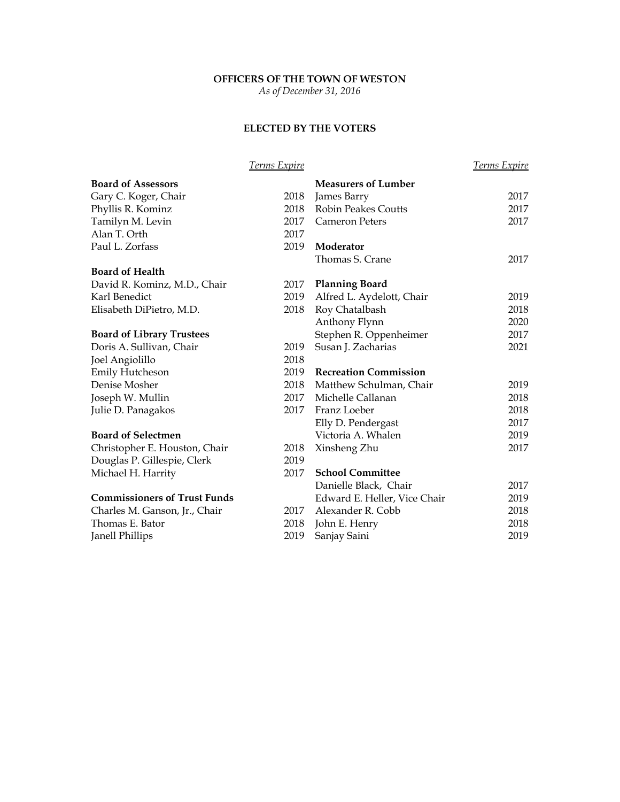## **OFFICERS OF THE TOWN OF WESTON**

*As of December 31, 2016* 

## **ELECTED BY THE VOTERS**

|                                     | <u>Terms Expire</u> |                              | <u>Terms Expire</u> |
|-------------------------------------|---------------------|------------------------------|---------------------|
| <b>Board of Assessors</b>           |                     | <b>Measurers of Lumber</b>   |                     |
| Gary C. Koger, Chair                | 2018                | James Barry                  | 2017                |
| Phyllis R. Kominz                   | 2018                | <b>Robin Peakes Coutts</b>   | 2017                |
| Tamilyn M. Levin                    | 2017                | <b>Cameron Peters</b>        | 2017                |
| Alan T. Orth                        | 2017                |                              |                     |
| Paul L. Zorfass                     | 2019                | Moderator                    |                     |
|                                     |                     | Thomas S. Crane              | 2017                |
| <b>Board of Health</b>              |                     |                              |                     |
| David R. Kominz, M.D., Chair        | 2017                | <b>Planning Board</b>        |                     |
| Karl Benedict                       | 2019                | Alfred L. Aydelott, Chair    | 2019                |
| Elisabeth DiPietro, M.D.            | 2018                | Roy Chatalbash               | 2018                |
|                                     |                     | Anthony Flynn                | 2020                |
| <b>Board of Library Trustees</b>    |                     | Stephen R. Oppenheimer       | 2017                |
| Doris A. Sullivan, Chair            | 2019                | Susan J. Zacharias           | 2021                |
| Joel Angiolillo                     | 2018                |                              |                     |
| Emily Hutcheson                     | 2019                | <b>Recreation Commission</b> |                     |
| Denise Mosher                       | 2018                | Matthew Schulman, Chair      | 2019                |
| Joseph W. Mullin                    | 2017                | Michelle Callanan            | 2018                |
| Julie D. Panagakos                  | 2017                | Franz Loeber                 | 2018                |
|                                     |                     | Elly D. Pendergast           | 2017                |
| <b>Board of Selectmen</b>           |                     | Victoria A. Whalen           | 2019                |
| Christopher E. Houston, Chair       | 2018                | Xinsheng Zhu                 | 2017                |
| Douglas P. Gillespie, Clerk         | 2019                |                              |                     |
| Michael H. Harrity                  | 2017                | <b>School Committee</b>      |                     |
|                                     |                     | Danielle Black, Chair        | 2017                |
| <b>Commissioners of Trust Funds</b> |                     | Edward E. Heller, Vice Chair | 2019                |
| Charles M. Ganson, Jr., Chair       | 2017                | Alexander R. Cobb            | 2018                |
| Thomas E. Bator                     | 2018                | John E. Henry                | 2018                |
| Janell Phillips                     | 2019                | Sanjay Saini                 | 2019                |